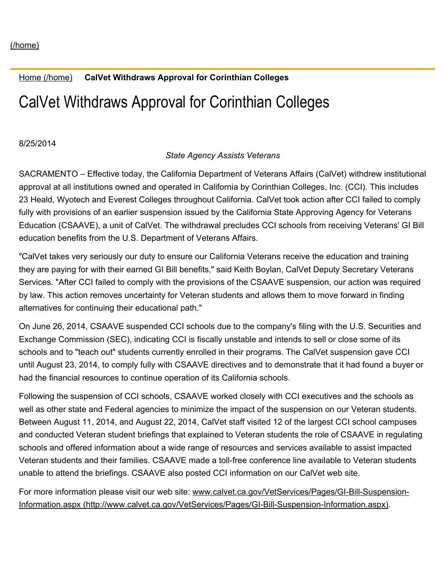## Home [\(/home\)](https://www.calvet.ca.gov/home) **CalVet Withdraws Approval for Corinthian Colleges**

## CalVet Withdraws Approval for Corinthian Colleges

8/25/2014

## *State Agency Assists Veterans*

SACRAMENTO – Effective today, the California Department of Veterans Affairs (CalVet) withdrew institutional approval at all institutions owned and operated in California by Corinthian Colleges, Inc. (CCI). This includes 23 Heald, Wyotech and Everest Colleges throughout California. CalVet took action after CCI failed to comply fully with provisions of an earlier suspension issued by the California State Approving Agency for Veterans Education (CSAAVE), a unit of CalVet. The withdrawal precludes CCI schools from receiving Veterans' GI Bill education benefits from the U.S. Department of Veterans Affairs.

"CalVet takes very seriously our duty to ensure our California Veterans receive the education and training they are paying for with their earned GI Bill benefits," said Keith Boylan, CalVet Deputy Secretary Veterans Services. "After CCI failed to comply with the provisions of the CSAAVE suspension, our action was required by law. This action removes uncertainty for Veteran students and allows them to move forward in finding alternatives for continuing their educational path."

On June 26, 2014, CSAAVE suspended CCI schools due to the company's filing with the U.S. Securities and Exchange Commission (SEC), indicating CCI is fiscally unstable and intends to sell or close some of its schools and to "teach out" students currently enrolled in their programs. The CalVet suspension gave CCI until August 23, 2014, to comply fully with CSAAVE directives and to demonstrate that it had found a buyer or had the financial resources to continue operation of its California schools.

Following the suspension of CCI schools, CSAAVE worked closely with CCI executives and the schools as well as other state and Federal agencies to minimize the impact of the suspension on our Veteran students. Between August 11, 2014, and August 22, 2014, CalVet staff visited 12 of the largest CCI school campuses and conducted Veteran student briefings that explained to Veteran students the role of CSAAVE in regulating schools and offered information about a wide range of resources and services available to assist impacted Veteran students and their families. CSAAVE made a toll-free conference line available to Veteran students unable to attend the briefings. CSAAVE also posted CCI information on our CalVet web site.

For more information please visit our web site: www.calvet.ca.gov/VetServices/Pages/GI-Bill-Suspension-Information.aspx (http://www.calvet.ca.gov/VetServices/Pages/GI-Bill-Suspension-Information.aspx).